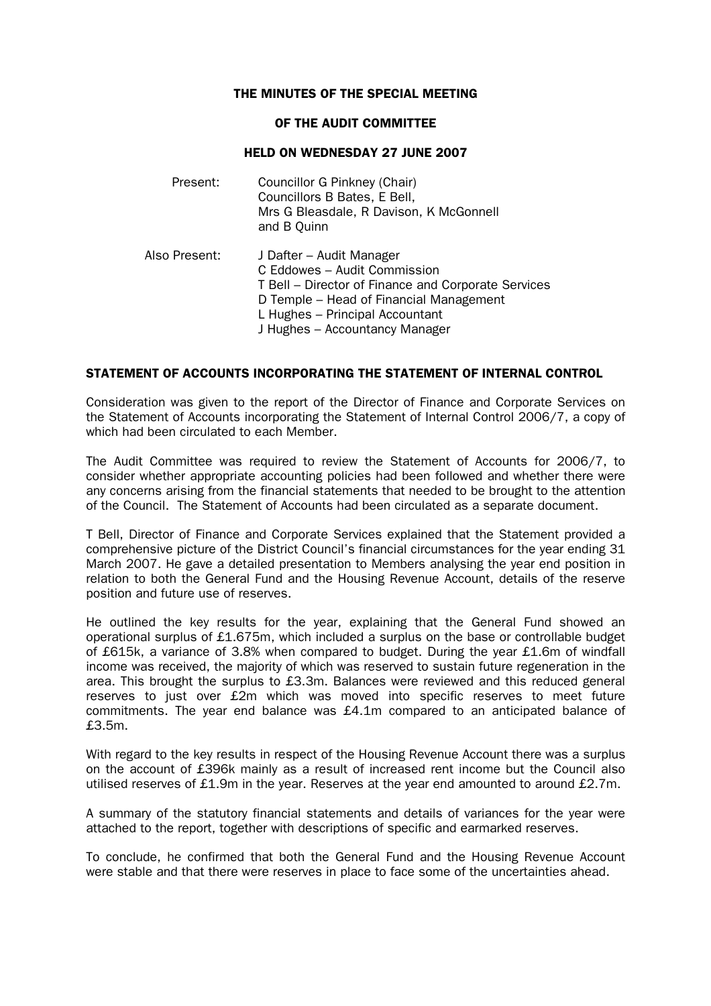## THE MINUTES OF THE SPECIAL MEETING

#### OF THE AUDIT COMMITTEE

# HELD ON WEDNESDAY 27 JUNE 2007

| Present:      | Councillor G Pinkney (Chair)<br>Councillors B Bates, E Bell,<br>Mrs G Bleasdale, R Davison, K McGonnell<br>and B Quinn                                                                                                          |
|---------------|---------------------------------------------------------------------------------------------------------------------------------------------------------------------------------------------------------------------------------|
| Also Present: | J Dafter - Audit Manager<br>C Eddowes - Audit Commission<br>T Bell – Director of Finance and Corporate Services<br>D Temple – Head of Financial Management<br>L Hughes - Principal Accountant<br>J Hughes - Accountancy Manager |

## STATEMENT OF ACCOUNTS INCORPORATING THE STATEMENT OF INTERNAL CONTROL

Consideration was given to the report of the Director of Finance and Corporate Services on the Statement of Accounts incorporating the Statement of Internal Control 2006/7, a copy of which had been circulated to each Member.

The Audit Committee was required to review the Statement of Accounts for 2006/7, to consider whether appropriate accounting policies had been followed and whether there were any concerns arising from the financial statements that needed to be brought to the attention of the Council. The Statement of Accounts had been circulated as a separate document.

T Bell, Director of Finance and Corporate Services explained that the Statement provided a comprehensive picture of the District Council's financial circumstances for the year ending 31 March 2007. He gave a detailed presentation to Members analysing the year end position in relation to both the General Fund and the Housing Revenue Account, details of the reserve position and future use of reserves.

He outlined the key results for the year, explaining that the General Fund showed an operational surplus of £1.675m, which included a surplus on the base or controllable budget of £615k, a variance of 3.8% when compared to budget. During the year £1.6m of windfall income was received, the majority of which was reserved to sustain future regeneration in the area. This brought the surplus to £3.3m. Balances were reviewed and this reduced general reserves to just over £2m which was moved into specific reserves to meet future commitments. The year end balance was £4.1m compared to an anticipated balance of £3.5m.

With regard to the key results in respect of the Housing Revenue Account there was a surplus on the account of £396k mainly as a result of increased rent income but the Council also utilised reserves of £1.9m in the year. Reserves at the year end amounted to around £2.7m.

A summary of the statutory financial statements and details of variances for the year were attached to the report, together with descriptions of specific and earmarked reserves.

To conclude, he confirmed that both the General Fund and the Housing Revenue Account were stable and that there were reserves in place to face some of the uncertainties ahead.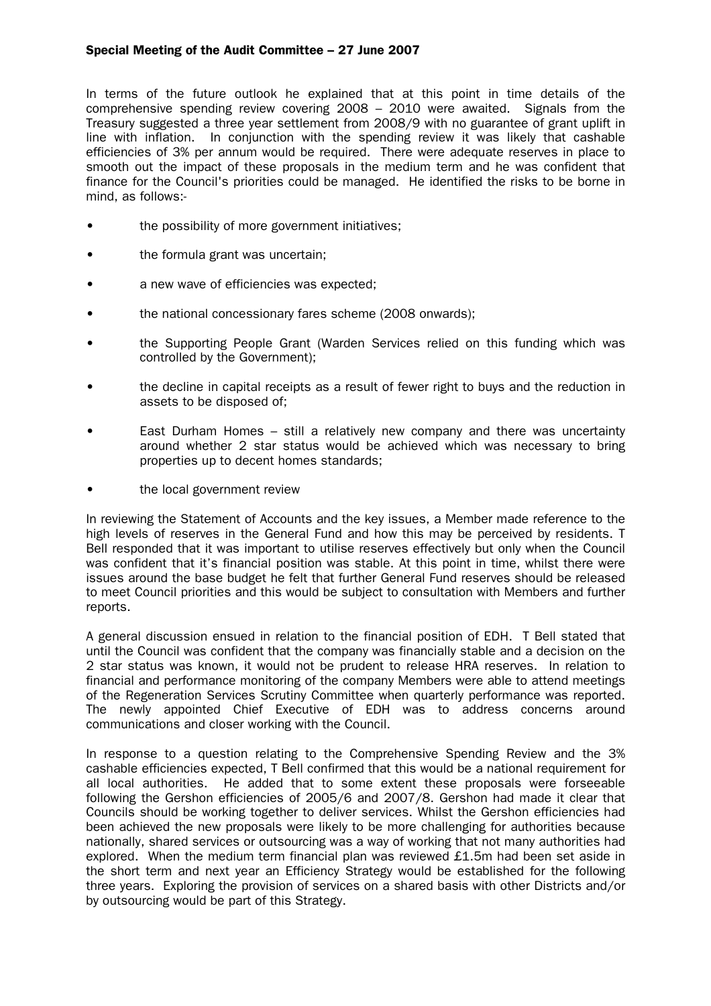# Special Meeting of the Audit Committee – 27 June 2007

In terms of the future outlook he explained that at this point in time details of the comprehensive spending review covering 2008 – 2010 were awaited. Signals from the Treasury suggested a three year settlement from 2008/9 with no guarantee of grant uplift in line with inflation. In conjunction with the spending review it was likely that cashable efficiencies of 3% per annum would be required. There were adequate reserves in place to smooth out the impact of these proposals in the medium term and he was confident that finance for the Council's priorities could be managed. He identified the risks to be borne in mind, as follows:-

- the possibility of more government initiatives;
- the formula grant was uncertain;
- a new wave of efficiencies was expected:
- the national concessionary fares scheme (2008 onwards);
- the Supporting People Grant (Warden Services relied on this funding which was controlled by the Government);
- the decline in capital receipts as a result of fewer right to buys and the reduction in assets to be disposed of;
- East Durham Homes still a relatively new company and there was uncertainty around whether 2 star status would be achieved which was necessary to bring properties up to decent homes standards;
- the local government review

In reviewing the Statement of Accounts and the key issues, a Member made reference to the high levels of reserves in the General Fund and how this may be perceived by residents. T Bell responded that it was important to utilise reserves effectively but only when the Council was confident that it's financial position was stable. At this point in time, whilst there were issues around the base budget he felt that further General Fund reserves should be released to meet Council priorities and this would be subject to consultation with Members and further reports.

A general discussion ensued in relation to the financial position of EDH. T Bell stated that until the Council was confident that the company was financially stable and a decision on the 2 star status was known, it would not be prudent to release HRA reserves. In relation to financial and performance monitoring of the company Members were able to attend meetings of the Regeneration Services Scrutiny Committee when quarterly performance was reported. The newly appointed Chief Executive of EDH was to address concerns around communications and closer working with the Council.

In response to a question relating to the Comprehensive Spending Review and the 3% cashable efficiencies expected, T Bell confirmed that this would be a national requirement for all local authorities. He added that to some extent these proposals were forseeable following the Gershon efficiencies of 2005/6 and 2007/8. Gershon had made it clear that Councils should be working together to deliver services. Whilst the Gershon efficiencies had been achieved the new proposals were likely to be more challenging for authorities because nationally, shared services or outsourcing was a way of working that not many authorities had explored. When the medium term financial plan was reviewed £1.5m had been set aside in the short term and next year an Efficiency Strategy would be established for the following three years. Exploring the provision of services on a shared basis with other Districts and/or by outsourcing would be part of this Strategy.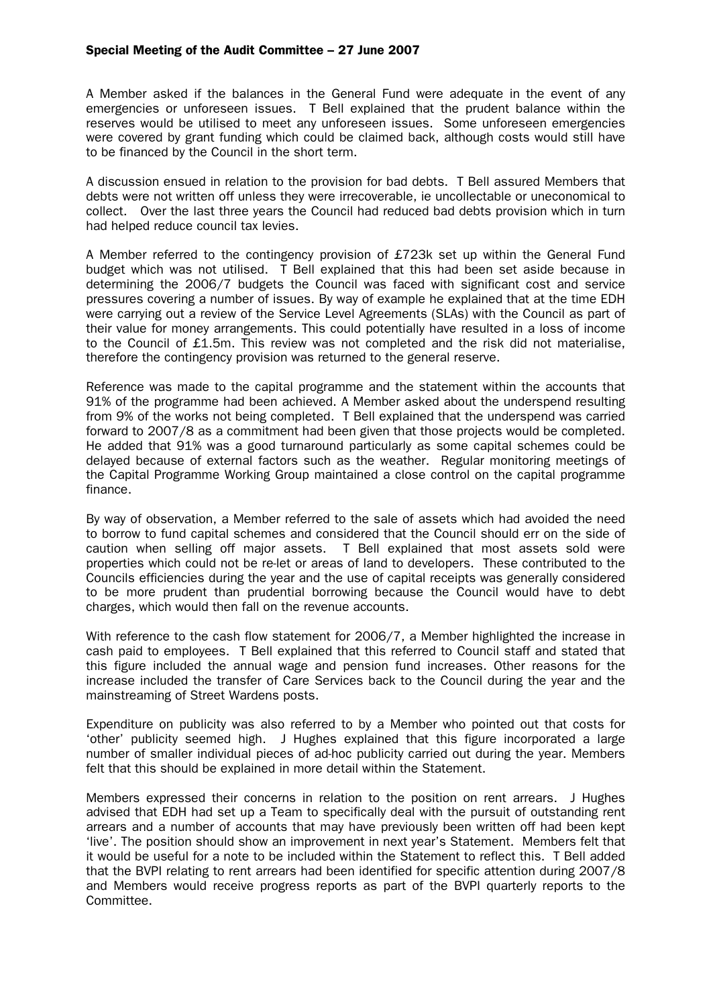A Member asked if the balances in the General Fund were adequate in the event of any emergencies or unforeseen issues. T Bell explained that the prudent balance within the reserves would be utilised to meet any unforeseen issues. Some unforeseen emergencies were covered by grant funding which could be claimed back, although costs would still have to be financed by the Council in the short term.

A discussion ensued in relation to the provision for bad debts. T Bell assured Members that debts were not written off unless they were irrecoverable, ie uncollectable or uneconomical to collect. Over the last three years the Council had reduced bad debts provision which in turn had helped reduce council tax levies.

A Member referred to the contingency provision of £723k set up within the General Fund budget which was not utilised. T Bell explained that this had been set aside because in determining the 2006/7 budgets the Council was faced with significant cost and service pressures covering a number of issues. By way of example he explained that at the time EDH were carrying out a review of the Service Level Agreements (SLAs) with the Council as part of their value for money arrangements. This could potentially have resulted in a loss of income to the Council of £1.5m. This review was not completed and the risk did not materialise, therefore the contingency provision was returned to the general reserve.

Reference was made to the capital programme and the statement within the accounts that 91% of the programme had been achieved. A Member asked about the underspend resulting from 9% of the works not being completed. T Bell explained that the underspend was carried forward to 2007/8 as a commitment had been given that those projects would be completed. He added that 91% was a good turnaround particularly as some capital schemes could be delayed because of external factors such as the weather. Regular monitoring meetings of the Capital Programme Working Group maintained a close control on the capital programme finance.

By way of observation, a Member referred to the sale of assets which had avoided the need to borrow to fund capital schemes and considered that the Council should err on the side of caution when selling off major assets. T Bell explained that most assets sold were properties which could not be re-let or areas of land to developers. These contributed to the Councils efficiencies during the year and the use of capital receipts was generally considered to be more prudent than prudential borrowing because the Council would have to debt charges, which would then fall on the revenue accounts.

With reference to the cash flow statement for 2006/7, a Member highlighted the increase in cash paid to employees. T Bell explained that this referred to Council staff and stated that this figure included the annual wage and pension fund increases. Other reasons for the increase included the transfer of Care Services back to the Council during the year and the mainstreaming of Street Wardens posts.

Expenditure on publicity was also referred to by a Member who pointed out that costs for 'other' publicity seemed high. J Hughes explained that this figure incorporated a large number of smaller individual pieces of ad-hoc publicity carried out during the year. Members felt that this should be explained in more detail within the Statement.

Members expressed their concerns in relation to the position on rent arrears. J Hughes advised that EDH had set up a Team to specifically deal with the pursuit of outstanding rent arrears and a number of accounts that may have previously been written off had been kept 'live'. The position should show an improvement in next year's Statement. Members felt that it would be useful for a note to be included within the Statement to reflect this. T Bell added that the BVPI relating to rent arrears had been identified for specific attention during 2007/8 and Members would receive progress reports as part of the BVPI quarterly reports to the Committee.